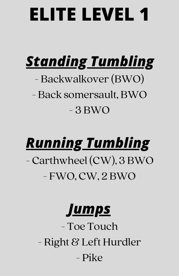## *Standing Tumbling*

#### - Backwalkover (BWO) - Back somersault, BWO - 3 BWO

#### *Running Tumbling* - Carthwheel (CW), 3 BWO - FWO, CW, 2 BWO

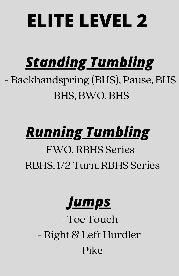## *Standing Tumbling*

#### - Backhandspring (BHS), Pause, BHS - BHS, BWO, BHS

## *Running Tumbling*

#### -FWO, RBHS Series - RBHS, 1/2 Turn, RBHS Series

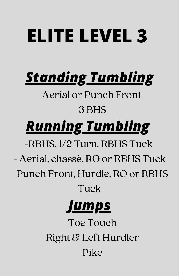## *Standing Tumbling*

- Aerial or Punch Front - 3 BHS

## *Running Tumbling*

-RBHS, 1/2 Turn, RBHS Tuck

- Aerial, chassè, RO or RBHS Tuck
- Punch Front, Hurdle, RO or RBHS

Tuck

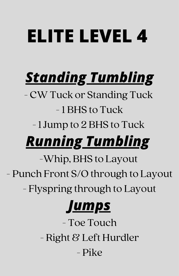## *Standing Tumbling*

- CW Tuck or Standing Tuck -1 BHS to Tuck

-1 Jump to 2 BHS to Tuck

## *Running Tumbling*

-Whip, BHS to Layout - Punch Front S/O through to Layout

- Flyspring through to Layout

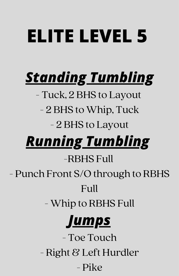## *Standing Tumbling*

- Tuck, 2 BHS to Layout

- 2 BHS to Whip, Tuck

#### - 2 BHS to Layout

### *Running Tumbling*

#### -RBHS Full

- Punch Front S/O through to RBHS

#### Full

- Whip to RBHS Full